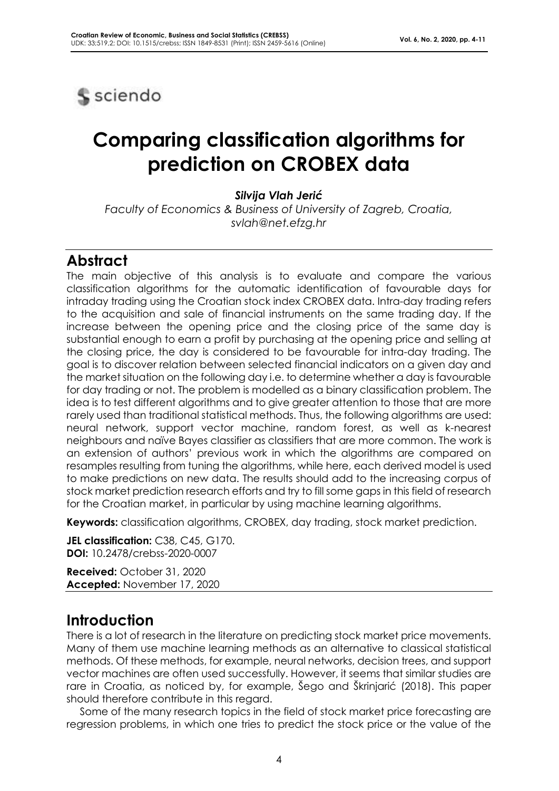

# **Comparing classification algorithms for prediction on CROBEX data**

*Silvija Vlah Jerić*

*Faculty of Economics & Business of University of Zagreb, Croatia, svlah@net.efzg.hr*

#### **Abstract**

The main objective of this analysis is to evaluate and compare the various classification algorithms for the automatic identification of favourable days for intraday trading using the Croatian stock index CROBEX data. Intra-day trading refers to the acquisition and sale of financial instruments on the same trading day. If the increase between the opening price and the closing price of the same day is substantial enough to earn a profit by purchasing at the opening price and selling at the closing price, the day is considered to be favourable for intra-day trading. The goal is to discover relation between selected financial indicators on a given day and the market situation on the following day i.e. to determine whether a day is favourable for day trading or not. The problem is modelled as a binary classification problem. The idea is to test different algorithms and to give greater attention to those that are more rarely used than traditional statistical methods. Thus, the following algorithms are used: neural network, support vector machine, random forest, as well as k-nearest neighbours and naïve Bayes classifier as classifiers that are more common. The work is an extension of authors' previous work in which the algorithms are compared on resamples resulting from tuning the algorithms, while here, each derived model is used to make predictions on new data. The results should add to the increasing corpus of stock market prediction research efforts and try to fill some gaps in this field of research for the Croatian market, in particular by using machine learning algorithms.

**Keywords:** classification algorithms, CROBEX, day trading, stock market prediction.

**JEL classification:** C38, C45, G170. **DOI:** 10.2478/crebss-2020-0007

**Received:** October 31, 2020 **Accepted:** November 17, 2020

## **Introduction**

There is a lot of research in the literature on predicting stock market price movements. Many of them use machine learning methods as an alternative to classical statistical methods. Of these methods, for example, neural networks, decision trees, and support vector machines are often used successfully. However, it seems that similar studies are rare in Croatia, as noticed by, for example, Šego and Škrinjarić (2018). This paper should therefore contribute in this regard.

Some of the many research topics in the field of stock market price forecasting are regression problems, in which one tries to predict the stock price or the value of the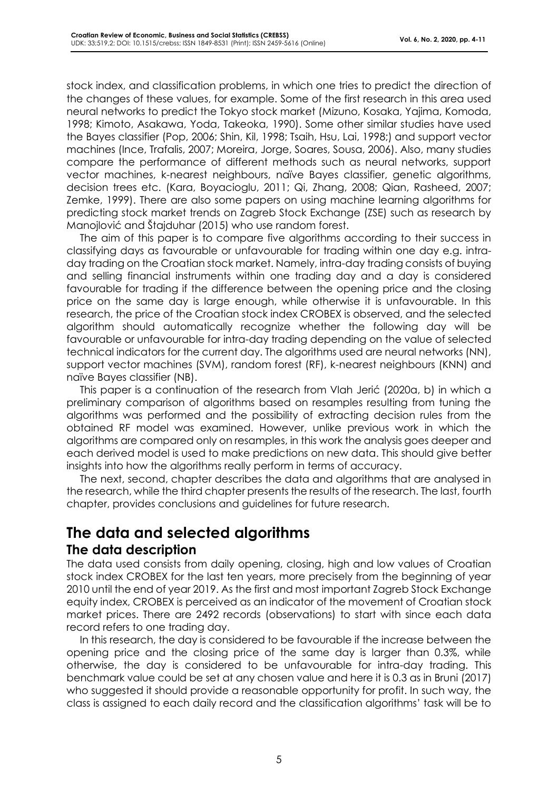stock index, and classification problems, in which one tries to predict the direction of the changes of these values, for example. Some of the first research in this area used neural networks to predict the Tokyo stock market (Mizuno, Kosaka, Yajima, Komoda, 1998; Kimoto, Asakawa, Yoda, Takeoka, 1990). Some other similar studies have used the Bayes classifier (Pop, 2006; Shin, Kil, 1998; Tsaih, Hsu, Lai, 1998;) and support vector machines (Ince, Trafalis, 2007; Moreira, Jorge, Soares, Sousa, 2006). Also, many studies compare the performance of different methods such as neural networks, support vector machines, k-nearest neighbours, naïve Bayes classifier, genetic algorithms, decision trees etc. (Kara, Boyacioglu, 2011; Qi, Zhang, 2008; Qian, Rasheed, 2007; Zemke, 1999). There are also some papers on using machine learning algorithms for predicting stock market trends on Zagreb Stock Exchange (ZSE) such as research by Manojlović and Štajduhar (2015) who use random forest.

The aim of this paper is to compare five algorithms according to their success in classifying days as favourable or unfavourable for trading within one day e.g. intraday trading on the Croatian stock market. Namely, intra-day trading consists of buying and selling financial instruments within one trading day and a day is considered favourable for trading if the difference between the opening price and the closing price on the same day is large enough, while otherwise it is unfavourable. In this research, the price of the Croatian stock index CROBEX is observed, and the selected algorithm should automatically recognize whether the following day will be favourable or unfavourable for intra-day trading depending on the value of selected technical indicators for the current day. The algorithms used are neural networks (NN), support vector machines (SVM), random forest (RF), k-nearest neighbours (KNN) and naïve Bayes classifier (NB).

This paper is a continuation of the research from Vlah Jerić (2020a, b) in which a preliminary comparison of algorithms based on resamples resulting from tuning the algorithms was performed and the possibility of extracting decision rules from the obtained RF model was examined. However, unlike previous work in which the algorithms are compared only on resamples, in this work the analysis goes deeper and each derived model is used to make predictions on new data. This should give better insights into how the algorithms really perform in terms of accuracy.

The next, second, chapter describes the data and algorithms that are analysed in the research, while the third chapter presents the results of the research. The last, fourth chapter, provides conclusions and guidelines for future research.

# **The data and selected algorithms The data description**

The data used consists from daily opening, closing, high and low values of Croatian stock index CROBEX for the last ten years, more precisely from the beginning of year 2010 until the end of year 2019. As the first and most important Zagreb Stock Exchange equity index, CROBEX is perceived as an indicator of the movement of Croatian stock market prices. There are 2492 records (observations) to start with since each data record refers to one trading day.

In this research, the day is considered to be favourable if the increase between the opening price and the closing price of the same day is larger than 0.3%, while otherwise, the day is considered to be unfavourable for intra-day trading. This benchmark value could be set at any chosen value and here it is 0.3 as in Bruni (2017) who suggested it should provide a reasonable opportunity for profit. In such way, the class is assigned to each daily record and the classification algorithms' task will be to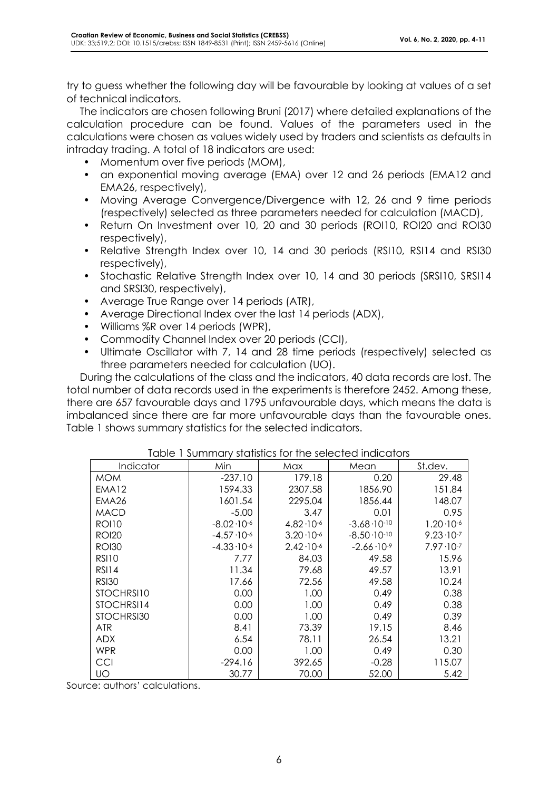try to guess whether the following day will be favourable by looking at values of a set of technical indicators.

The indicators are chosen following Bruni (2017) where detailed explanations of the calculation procedure can be found. Values of the parameters used in the calculations were chosen as values widely used by traders and scientists as defaults in intraday trading. A total of 18 indicators are used:

- Momentum over five periods (MOM),
- an exponential moving average (EMA) over 12 and 26 periods (EMA12 and EMA26, respectively),
- Moving Average Convergence/Divergence with 12, 26 and 9 time periods (respectively) selected as three parameters needed for calculation (MACD),
- Return On Investment over 10, 20 and 30 periods (ROI10, ROI20 and ROI30 respectively),
- Relative Strength Index over 10, 14 and 30 periods (RSI10, RSI14 and RSI30 respectively),
- Stochastic Relative Strength Index over 10, 14 and 30 periods (SRSI10, SRSI14 and SRSI30, respectively),
- Average True Range over 14 periods (ATR),
- Average Directional Index over the last 14 periods (ADX),
- Williams %R over 14 periods (WPR),
- Commodity Channel Index over 20 periods (CCI),
- Ultimate Oscillator with 7, 14 and 28 time periods (respectively) selected as three parameters needed for calculation (UO).

During the calculations of the class and the indicators, 40 data records are lost. The total number of data records used in the experiments is therefore 2452. Among these, there are 657 favourable days and 1795 unfavourable days, which means the data is imbalanced since there are far more unfavourable days than the favourable ones. Table 1 shows summary statistics for the selected indicators.

| <u>FUDIO TED INTERNATION IN LITE SURFAINING IN THE STORE IN DISPONENT IN THE SURFAINING IN THE SURFAINING IN THE SURFAINING IN THE SURFAINING IN THE SURFAINING IN THE SURFAINING IN THE SURFAINING IN THE SURFAINING IN THE SUR</u> |                       |                      |                        |                      |  |  |  |  |
|--------------------------------------------------------------------------------------------------------------------------------------------------------------------------------------------------------------------------------------|-----------------------|----------------------|------------------------|----------------------|--|--|--|--|
| Indicator                                                                                                                                                                                                                            | Min                   | Max                  | Mean                   | St.dev.              |  |  |  |  |
| <b>MOM</b>                                                                                                                                                                                                                           | $-237.10$             | 179.18               | 0.20                   | 29.48                |  |  |  |  |
| EMA12                                                                                                                                                                                                                                | 1594.33               | 2307.58              | 1856.90                | 151.84               |  |  |  |  |
| EMA <sub>26</sub>                                                                                                                                                                                                                    | 1601.54               | 2295.04              | 1856.44                | 148.07               |  |  |  |  |
| <b>MACD</b>                                                                                                                                                                                                                          | $-5.00$               | 3.47                 | 0.01                   | 0.95                 |  |  |  |  |
| <b>ROI10</b>                                                                                                                                                                                                                         | $-8.02 \cdot 10^{-6}$ | $4.82 \cdot 10^{-6}$ | $-3.68 \cdot 10^{-10}$ | $1.20 \cdot 10^{-6}$ |  |  |  |  |
| <b>ROI20</b>                                                                                                                                                                                                                         | $-4.57 \cdot 10^{-6}$ | $3.20 \cdot 10^{-6}$ | $-8.50 \cdot 10^{-10}$ | $9.23 \cdot 10^{-7}$ |  |  |  |  |
| <b>ROI30</b>                                                                                                                                                                                                                         | $-4.33 \cdot 10^{-6}$ | $2.42 \cdot 10^{-6}$ | $-2.66 \cdot 10^{-9}$  | $7.97 \cdot 10^{-7}$ |  |  |  |  |
| RSI10                                                                                                                                                                                                                                | 7.77                  | 84.03                | 49.58                  | 15.96                |  |  |  |  |
| <b>RSI14</b>                                                                                                                                                                                                                         | 11.34                 | 79.68                | 49.57                  | 13.91                |  |  |  |  |
| <b>RSI30</b>                                                                                                                                                                                                                         | 17.66                 | 72.56                | 49.58                  | 10.24                |  |  |  |  |
| STOCHRS110                                                                                                                                                                                                                           | 0.00                  | 1.00                 | 0.49                   | 0.38                 |  |  |  |  |
| STOCHRSI14                                                                                                                                                                                                                           | 0.00                  | 1.00                 | 0.49                   | 0.38                 |  |  |  |  |
| STOCHRSI30                                                                                                                                                                                                                           | 0.00                  | 1.00                 | 0.49                   | 0.39                 |  |  |  |  |
| <b>ATR</b>                                                                                                                                                                                                                           | 8.41                  | 73.39                | 19.15                  | 8.46                 |  |  |  |  |
| <b>ADX</b>                                                                                                                                                                                                                           | 6.54                  | 78.11                | 26.54                  | 13.21                |  |  |  |  |
| WPR                                                                                                                                                                                                                                  | 0.00                  | 1.00                 | 0.49                   | 0.30                 |  |  |  |  |
| CCI                                                                                                                                                                                                                                  | $-294.16$             | 392.65               | $-0.28$                | 115.07               |  |  |  |  |
| UO                                                                                                                                                                                                                                   | 30.77                 | 70.00                | 52.00                  | 5.42                 |  |  |  |  |

#### Table 1 Summary statistics for the selected indicators

Source: authors' calculations.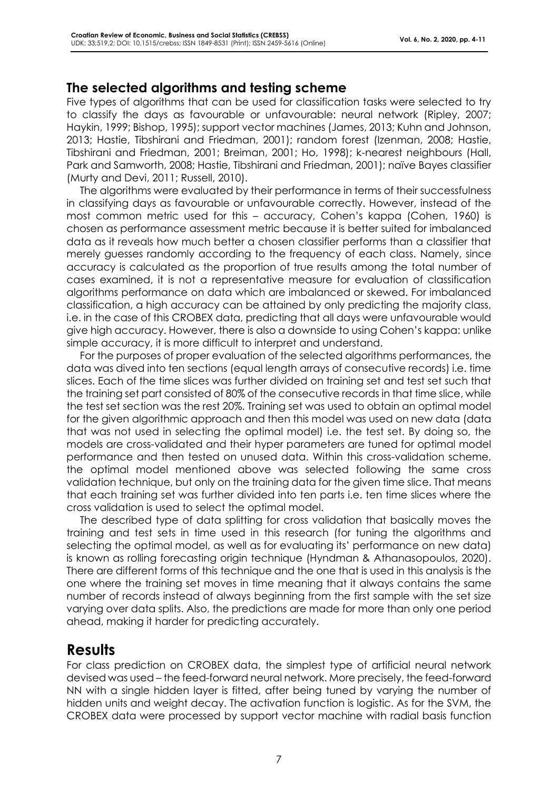#### **The selected algorithms and testing scheme**

Five types of algorithms that can be used for classification tasks were selected to try to classify the days as favourable or unfavourable: neural network (Ripley, 2007; Haykin, 1999; Bishop, 1995); support vector machines (James, 2013; Kuhn and Johnson, 2013; Hastie, Tibshirani and Friedman, 2001); random forest (Izenman, 2008; Hastie, Tibshirani and Friedman, 2001; Breiman, 2001; Ho, 1998); k-nearest neighbours (Hall, Park and Samworth, 2008; Hastie, Tibshirani and Friedman, 2001); naïve Bayes classifier (Murty and Devi, 2011; Russell, 2010).

The algorithms were evaluated by their performance in terms of their successfulness in classifying days as favourable or unfavourable correctly. However, instead of the most common metric used for this – accuracy, Cohen's kappa (Cohen, 1960) is chosen as performance assessment metric because it is better suited for imbalanced data as it reveals how much better a chosen classifier performs than a classifier that merely guesses randomly according to the frequency of each class. Namely, since accuracy is calculated as the proportion of true results among the total number of cases examined, it is not a representative measure for evaluation of classification algorithms performance on data which are imbalanced or skewed. For imbalanced classification, a high accuracy can be attained by only predicting the majority class, i.e. in the case of this CROBEX data, predicting that all days were unfavourable would give high accuracy. However, there is also a downside to using Cohen's kappa: unlike simple accuracy, it is more difficult to interpret and understand.

For the purposes of proper evaluation of the selected algorithms performances, the data was dived into ten sections (equal length arrays of consecutive records) i.e. time slices. Each of the time slices was further divided on training set and test set such that the training set part consisted of 80% of the consecutive records in that time slice, while the test set section was the rest 20%. Training set was used to obtain an optimal model for the given algorithmic approach and then this model was used on new data (data that was not used in selecting the optimal model) i.e. the test set. By doing so, the models are cross-validated and their hyper parameters are tuned for optimal model performance and then tested on unused data. Within this cross-validation scheme, the optimal model mentioned above was selected following the same cross validation technique, but only on the training data for the given time slice. That means that each training set was further divided into ten parts i.e. ten time slices where the cross validation is used to select the optimal model.

The described type of data splitting for cross validation that basically moves the training and test sets in time used in this research (for tuning the algorithms and selecting the optimal model, as well as for evaluating its' performance on new data) is known as rolling forecasting origin technique (Hyndman & Athanasopoulos, 2020). There are different forms of this technique and the one that is used in this analysis is the one where the training set moves in time meaning that it always contains the same number of records instead of always beginning from the first sample with the set size varying over data splits. Also, the predictions are made for more than only one period ahead, making it harder for predicting accurately.

### **Results**

For class prediction on CROBEX data, the simplest type of artificial neural network devised was used – the feed-forward neural network. More precisely, the feed-forward NN with a single hidden layer is fitted, after being tuned by varying the number of hidden units and weight decay. The activation function is logistic. As for the SVM, the CROBEX data were processed by support vector machine with radial basis function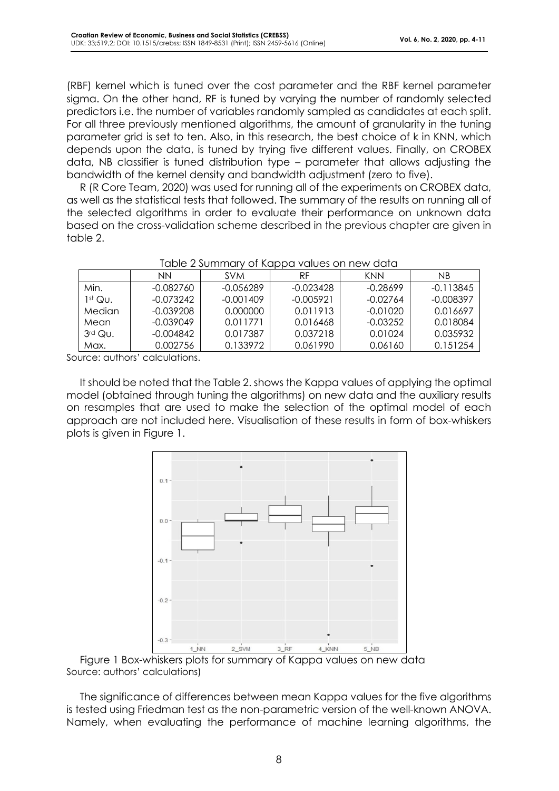(RBF) kernel which is tuned over the cost parameter and the RBF kernel parameter sigma. On the other hand, RF is tuned by varying the number of randomly selected predictors i.e. the number of variables randomly sampled as candidates at each split. For all three previously mentioned algorithms, the amount of granularity in the tuning parameter grid is set to ten. Also, in this research, the best choice of k in KNN, which depends upon the data, is tuned by trying five different values. Finally, on CROBEX data, NB classifier is tuned distribution type – parameter that allows adjusting the bandwidth of the kernel density and bandwidth adjustment (zero to five).

R (R Core Team, 2020) was used for running all of the experiments on CROBEX data, as well as the statistical tests that followed. The summary of the results on running all of the selected algorithms in order to evaluate their performance on unknown data based on the cross-validation scheme described in the previous chapter are given in table 2.

|           | NΝ          | <b>SVM</b>  | RF.       | KNN        | ΝB          |
|-----------|-------------|-------------|-----------|------------|-------------|
| Min.      | -0.082760   | $-0.056289$ | -0.023428 | $-0.28699$ | $-0.113845$ |
| $1st$ Qu. | $-0.073242$ | $-0.001409$ | -0.005921 | $-0.02764$ | $-0.008397$ |
| Median    | -0.039208   | 0.000000    | 0.011913  | -0.01020   | 0.016697    |
| Mean      | -0.039049   | 0.011771    | 0.016468  | $-0.03252$ | 0.018084    |
| $3rd$ Qu. | -0.004842   | 0.017387    | 0.037218  | 0.01024    | 0.035932    |
| Max.      | 0.002756    | 0.133972    | 0.061990  | 0.06160    | 0.151254    |

#### Table 2 Summary of Kappa values on new data

Source: authors' calculations.

It should be noted that the Table 2. shows the Kappa values of applying the optimal model (obtained through tuning the algorithms) on new data and the auxiliary results on resamples that are used to make the selection of the optimal model of each approach are not included here. Visualisation of these results in form of box-whiskers plots is given in Figure 1.



Figure 1 Box-whiskers plots for summary of Kappa values on new data Source: authors' calculations)

The significance of differences between mean Kappa values for the five algorithms is tested using Friedman test as the non-parametric version of the well-known ANOVA. Namely, when evaluating the performance of machine learning algorithms, the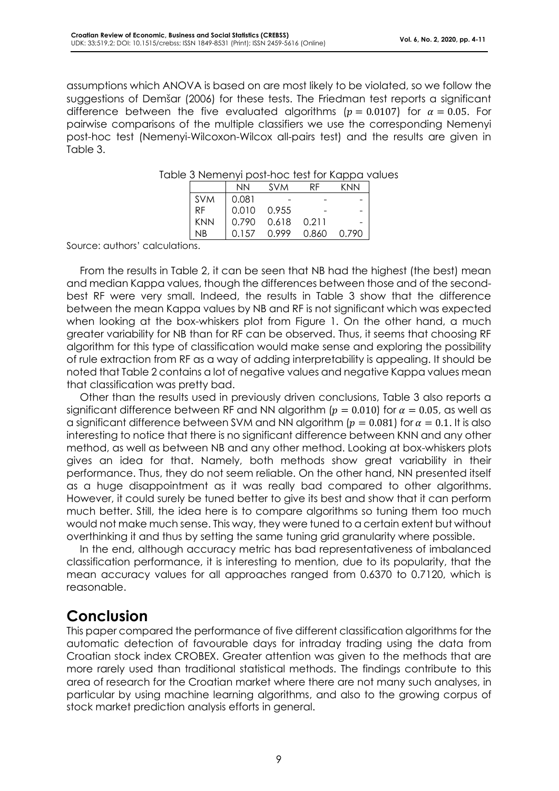assumptions which ANOVA is based on are most likely to be violated, so we follow the suggestions of Demšar (2006) for these tests. The Friedman test reports a significant difference between the five evaluated algorithms ( $p = 0.0107$ ) for  $\alpha = 0.05$ . For pairwise comparisons of the multiple classifiers we use the corresponding Nemenyi post-hoc test (Nemenyi-Wilcoxon-Wilcox all-pairs test) and the results are given in Table 3.

|            | <b>NN</b> | <b>SVM</b> | RF    | KNN   |
|------------|-----------|------------|-------|-------|
| <b>SVM</b> | 0.081     |            |       |       |
| <b>RF</b>  | 0.010     | 0.955      |       | -     |
| KNN        | 0.790     | 0.618      | 0.211 |       |
| ΝB         | በ 157     | O 999      | 0.860 | 0.790 |

Table 3 Nemenyi post-hoc test for Kappa values

Source: authors' calculations.

From the results in Table 2, it can be seen that NB had the highest (the best) mean and median Kappa values, though the differences between those and of the secondbest RF were very small. Indeed, the results in Table 3 show that the difference between the mean Kappa values by NB and RF is not significant which was expected when looking at the box-whiskers plot from Figure 1. On the other hand, a much greater variability for NB than for RF can be observed. Thus, it seems that choosing RF algorithm for this type of classification would make sense and exploring the possibility of rule extraction from RF as a way of adding interpretability is appealing. It should be noted that Table 2 contains a lot of negative values and negative Kappa values mean that classification was pretty bad.

Other than the results used in previously driven conclusions, Table 3 also reports a significant difference between RF and NN algorithm ( $p = 0.010$ ) for  $\alpha = 0.05$ , as well as a significant difference between SVM and NN algorithm ( $p = 0.081$ ) for  $\alpha = 0.1$ . It is also interesting to notice that there is no significant difference between KNN and any other method, as well as between NB and any other method. Looking at box-whiskers plots gives an idea for that. Namely, both methods show great variability in their performance. Thus, they do not seem reliable. On the other hand, NN presented itself as a huge disappointment as it was really bad compared to other algorithms. However, it could surely be tuned better to give its best and show that it can perform much better. Still, the idea here is to compare algorithms so tuning them too much would not make much sense. This way, they were tuned to a certain extent but without overthinking it and thus by setting the same tuning grid granularity where possible.

In the end, although accuracy metric has bad representativeness of imbalanced classification performance, it is interesting to mention, due to its popularity, that the mean accuracy values for all approaches ranged from 0.6370 to 0.7120, which is reasonable.

## **Conclusion**

This paper compared the performance of five different classification algorithms for the automatic detection of favourable days for intraday trading using the data from Croatian stock index CROBEX. Greater attention was given to the methods that are more rarely used than traditional statistical methods. The findings contribute to this area of research for the Croatian market where there are not many such analyses, in particular by using machine learning algorithms, and also to the growing corpus of stock market prediction analysis efforts in general.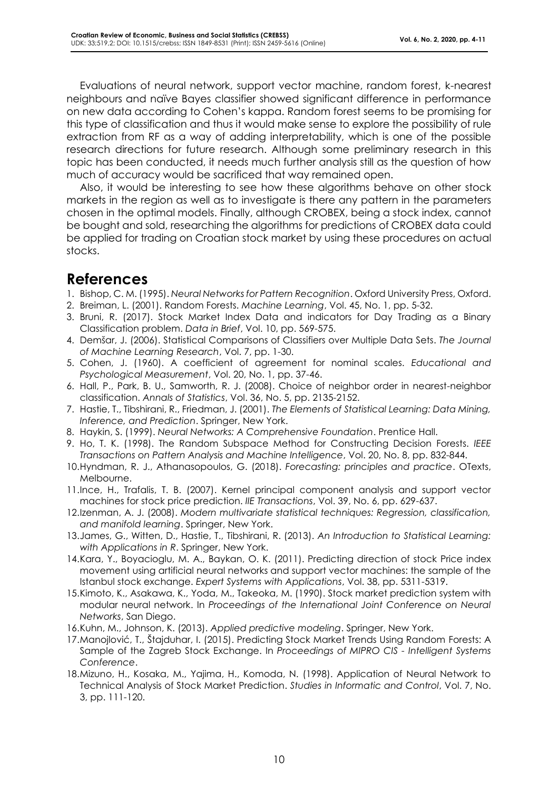Evaluations of neural network, support vector machine, random forest, k-nearest neighbours and naïve Bayes classifier showed significant difference in performance on new data according to Cohen's kappa. Random forest seems to be promising for this type of classification and thus it would make sense to explore the possibility of rule extraction from RF as a way of adding interpretability, which is one of the possible research directions for future research. Although some preliminary research in this topic has been conducted, it needs much further analysis still as the question of how much of accuracy would be sacrificed that way remained open.

Also, it would be interesting to see how these algorithms behave on other stock markets in the region as well as to investigate is there any pattern in the parameters chosen in the optimal models. Finally, although CROBEX, being a stock index, cannot be bought and sold, researching the algorithms for predictions of CROBEX data could be applied for trading on Croatian stock market by using these procedures on actual stocks.

#### **References**

- 1. Bishop, C. M. (1995). *Neural Networks for Pattern Recognition*. Oxford University Press, Oxford.
- 2. Breiman, L. (2001). Random Forests. *Machine Learning*, Vol. 45, No. 1, pp. 5-32.
- 3. Bruni, R. (2017). Stock Market Index Data and indicators for Day Trading as a Binary Classification problem. *Data in Brief*, Vol. 10, pp. 569-575.
- 4. Demšar, J. (2006). Statistical Comparisons of Classifiers over Multiple Data Sets. *The Journal of Machine Learning Research*, Vol. 7, pp. 1-30.
- 5. Cohen, J. (1960). A coefficient of agreement for nominal scales. *Educational and Psychological Measurement*, Vol. 20, No. 1, pp. 37-46.
- 6. Hall, P., Park, B. U., Samworth, R. J. (2008). Choice of neighbor order in nearest-neighbor classification. *Annals of Statistics*, Vol. 36, No. 5, pp. 2135-2152.
- 7. Hastie, T., Tibshirani, R., Friedman, J. (2001). *The Elements of Statistical Learning: Data Mining, Inference, and Prediction*. Springer, New York.
- 8. Haykin, S. (1999). *Neural Networks: A Comprehensive Foundation*. Prentice Hall.
- 9. Ho, T. K. (1998). The Random Subspace Method for Constructing Decision Forests. *IEEE Transactions on Pattern Analysis and Machine Intelligence*, Vol. 20, No. 8, pp. 832-844.
- 10.Hyndman, R. J., Athanasopoulos, G. (2018). *Forecasting: principles and practice*. OTexts, Melbourne.
- 11.Ince, H., Trafalis, T. B. (2007). Kernel principal component analysis and support vector machines for stock price prediction. *IIE Transactions*, Vol. 39, No. 6, pp. 629-637.
- 12.Izenman, A. J. (2008). *Modern multivariate statistical techniques: Regression, classification, and manifold learning*. Springer, New York.
- 13.James, G., Witten, D., Hastie, T., Tibshirani, R. (2013). *An Introduction to Statistical Learning: with Applications in R*. Springer, New York.
- 14.Kara, Y., Boyacioglu, M. A., Baykan, O. K. (2011). Predicting direction of stock Price index movement using artificial neural networks and support vector machines: the sample of the Istanbul stock exchange. *Expert Systems with Applications*, Vol. 38, pp. 5311-5319.
- 15.Kimoto, K., Asakawa, K., Yoda, M., Takeoka, M. (1990). Stock market prediction system with modular neural network. In *Proceedings of the International Joint Conference on Neural Networks*, San Diego.
- 16.Kuhn, M., Johnson, K. (2013). *Applied predictive modeling*. Springer, New York.
- 17.Manojlović, T., Štajduhar, I. (2015). Predicting Stock Market Trends Using Random Forests: A Sample of the Zagreb Stock Exchange. In *Proceedings of MIPRO CIS - Intelligent Systems Conference*.
- 18.Mizuno, H., Kosaka, M., Yajima, H., Komoda, N. (1998). Application of Neural Network to Technical Analysis of Stock Market Prediction. *Studies in Informatic and Control*, Vol. 7, No. 3, pp. 111-120.